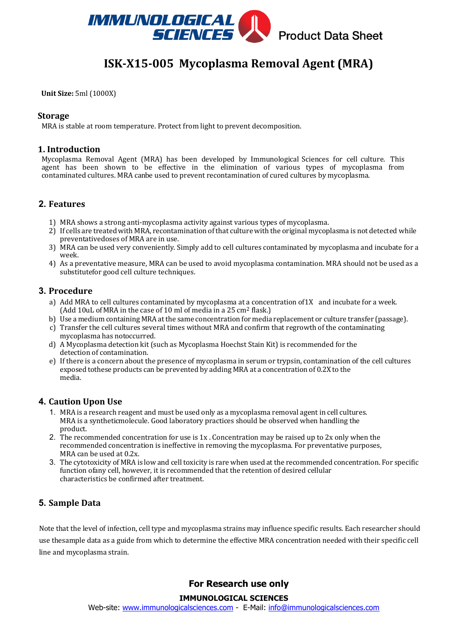

# **ISK-X15-005 Mycoplasma Removal Agent (MRA)**

**Unit Size:** 5ml (1000X) 

### **Storage**

MRA is stable at room temperature. Protect from light to prevent decomposition.

### **1. Introduction**

Mycoplasma Removal Agent (MRA) has been developed by Immunological Sciences for cell culture. This agent has been shown to be effective in the elimination of various types of mycoplasma from contaminated cultures. MRA canbe used to prevent recontamination of cured cultures by mycoplasma.

# **2. Features**

- 1) MRA shows a strong anti-mycoplasma activity against various types of mycoplasma.
- 2) If cells are treated with MRA, recontamination ofthat culture with the original mycoplasma is not detected while preventativedoses of MRA are in use.
- 3) MRA can be used very conveniently. Simply add to cell cultures contaminated by mycoplasma and incubate for a week.
- 4) As a preventative measure, MRA can be used to avoid mycoplasma contamination. MRA should not be used as a substitutefor good cell culture techniques.

### **3. Procedure**

- a) Add MRA to cell cultures contaminated by mycoplasma at a concentration of1X and incubate for a week. (Add 10uL of MRA in the case of 10 ml of media in a 25 cm2 flask.)
- b) Use a medium containing MRA atthe same concentration for media replacement or culture transfer (passage).
- c) Transfer the cell cultures several times without MRA and confirm that regrowth of the contaminating mycoplasma has notoccurred.
- d) A Mycoplasma detection kit (such as Mycoplasma Hoechst Stain Kit) is recommended for the detection of contamination.
- e) If there is a concern about the presence of mycoplasma in serum or trypsin, contamination of the cell cultures exposed tothese products can be prevented by adding MRA at a concentration of 0.2X to the media.

# **4. Caution Upon Use**

- 1. MRA is a research reagent and must be used only as a mycoplasma removal agent in cell cultures. MRA is a syntheticmolecule. Good laboratory practices should be observed when handling the product.
- 2. The recommended concentration for use is 1x . Concentration may be raised up to 2x only when the recommended concentration is ineffective in removing the mycoplasma. For preventative purposes, MRA can be used at 0.2x.
- 3. The cytotoxicity of MRA is low and cell toxicity is rare when used at the recommended concentration. For specific function ofany cell, however, it is recommended that the retention of desired cellular characteristics be confirmed after treatment.

# **5. Sample Data**

Note that the level of infection, cell type and mycoplasma strains may influence specific results. Each researcher should use thesample data as a guide from which to determine the effective MRA concentration needed with their specific cell line and mycoplasma strain.

# **For Research use only**